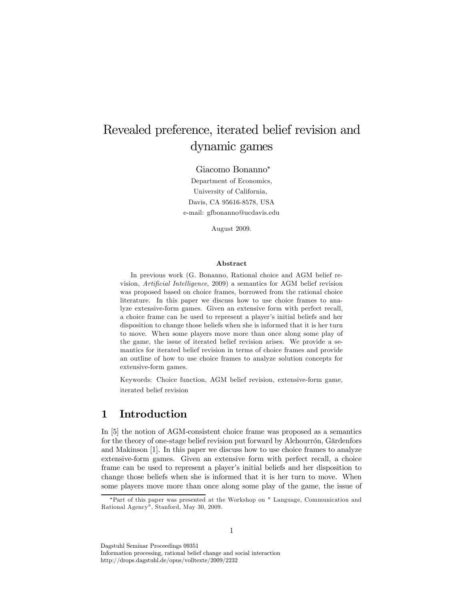# Revealed preference, iterated belief revision and dynamic games

Giacomo Bonanno<sup>∗</sup>

Department of Economics, University of California, Davis, CA 95616-8578, USA e-mail: gfbonanno@ucdavis.edu

August 2009.

#### Abstract

In previous work (G. Bonanno, Rational choice and AGM belief revision, Artificial Intelligence, 2009) a semantics for AGM belief revision was proposed based on choice frames, borrowed from the rational choice literature. In this paper we discuss how to use choice frames to analyze extensive-form games. Given an extensive form with perfect recall, a choice frame can be used to represent a player's initial beliefs and her disposition to change those beliefs when she is informed that it is her turn to move. When some players move more than once along some play of the game, the issue of iterated belief revision arises. We provide a semantics for iterated belief revision in terms of choice frames and provide an outline of how to use choice frames to analyze solution concepts for extensive-form games.

Keywords: Choice function, AGM belief revision, extensive-form game, iterated belief revision

# 1 Introduction

In [5] the notion of AGM-consistent choice frame was proposed as a semantics for the theory of one-stage belief revision put forward by Alchourrón, Gärdenfors and Makinson [1]. In this paper we discuss how to use choice frames to analyze extensive-form games. Given an extensive form with perfect recall, a choice frame can be used to represent a player's initial beliefs and her disposition to change those beliefs when she is informed that it is her turn to move. When some players move more than once along some play of the game, the issue of

1

Dagstuhl Seminar Proceedings 09351

Information processing, rational belief change and social interaction http://drops.dagstuhl.de/opus/volltexte/2009/2232

<sup>∗</sup>Part of this paper was presented at the Workshop on " Language, Communication and Rational Agency", Stanford, May 30, 2009.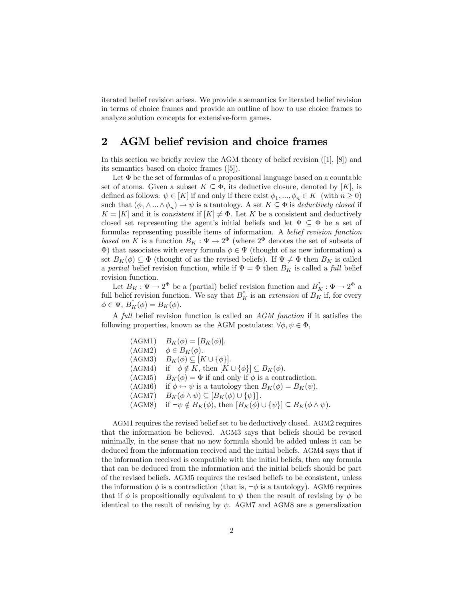iterated belief revision arises. We provide a semantics for iterated belief revision in terms of choice frames and provide an outline of how to use choice frames to analyze solution concepts for extensive-form games.

# 2 AGM belief revision and choice frames

In this section we briefly review the AGM theory of belief revision ([1], [8]) and its semantics based on choice frames ([5]).

Let  $\Phi$  be the set of formulas of a propositional language based on a countable set of atoms. Given a subset  $K \subseteq \Phi$ , its deductive closure, denoted by [K], is defined as follows:  $\psi \in [K]$  if and only if there exist  $\phi_1, ..., \phi_n \in K$  (with  $n \ge 0$ ) such that  $(\phi_1 \wedge ... \wedge \phi_n) \rightarrow \psi$  is a tautology. A set  $K \subseteq \Phi$  is *deductively closed* if  $K = [K]$  and it is consistent if  $[K] \neq \Phi$ . Let K be a consistent and deductively closed set representing the agent's initial beliefs and let  $\Psi \subseteq \Phi$  be a set of formulas representing possible items of information. A belief revision function based on K is a function  $B_K : \Psi \to 2^{\Phi}$  (where  $2^{\Phi}$  denotes the set of subsets of Φ) that associates with every formula φ ∈ Ψ (thought of as new information) a set  $B_K(\phi) \subseteq \Phi$  (thought of as the revised beliefs). If  $\Psi \neq \Phi$  then  $B_K$  is called a partial belief revision function, while if  $\Psi = \Phi$  then  $B_K$  is called a full belief revision function.

Let  $B_K : \Psi \to 2^{\Phi}$  be a (partial) belief revision function and  $B_K^* : \Phi \to 2^{\Phi}$  a full belief revision function. We say that  $B_K^*$  is an *extension* of  $B_K^*$  if, for every  $\phi \in \Psi$ ,  $B_K^{\dagger}(\phi) = B_K^{\dagger}(\phi)$ .

A full belief revision function is called an AGM function if it satisfies the following properties, known as the AGM postulates:  $\forall \phi, \psi \in \Phi$ ,

> $(AGM1)$   $B_K(\phi) = [B_K(\phi)].$  $(AGM2)$   $\phi \in B_K(\phi)$ .  $(AGM3)$   $B_K(\phi) \subseteq [K \cup {\phi}].$  $(AGM4)$  if  $\neg \phi \notin K$ , then  $[K \cup {\phi}] \subseteq B_K(\phi)$ . (AGM5)  $B_K(\phi) = \Phi$  if and only if  $\phi$  is a contradiction. (AGM6) if  $\phi \leftrightarrow \psi$  is a tautology then  $B_K(\phi) = B_K(\psi)$ . (AGM7)  $B_K(\phi \wedge \psi) \subseteq [B_K(\phi) \cup {\psi}].$ (AGM8) if  $\neg \psi \notin B_K(\phi)$ , then  $[B_K(\phi) \cup {\psi}] \subseteq B_K(\phi \wedge \psi)$ .

AGM1 requires the revised belief set to be deductively closed. AGM2 requires that the information be believed. AGM3 says that beliefs should be revised minimally, in the sense that no new formula should be added unless it can be deduced from the information received and the initial beliefs. AGM4 says that if the information received is compatible with the initial beliefs, then any formula that can be deduced from the information and the initial beliefs should be part of the revised beliefs. AGM5 requires the revised beliefs to be consistent, unless the information  $\phi$  is a contradiction (that is,  $\neg \phi$  is a tautology). AGM6 requires that if  $\phi$  is propositionally equivalent to  $\psi$  then the result of revising by  $\phi$  be identical to the result of revising by  $\psi$ . AGM7 and AGM8 are a generalization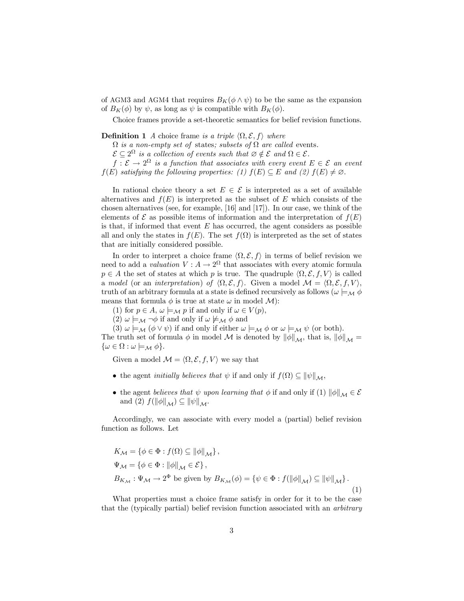of AGM3 and AGM4 that requires  $B_K(\phi \wedge \psi)$  to be the same as the expansion of  $B_K(\phi)$  by  $\psi$ , as long as  $\psi$  is compatible with  $B_K(\phi)$ .

Choice frames provide a set-theoretic semantics for belief revision functions.

**Definition 1** A choice frame is a triple  $\langle \Omega, \mathcal{E}, f \rangle$  where

 $\Omega$  is a non-empty set of states; subsets of  $\Omega$  are called events.

 $\mathcal{E} \subseteq 2^{\Omega}$  is a collection of events such that  $\emptyset \notin \mathcal{E}$  and  $\Omega \in \mathcal{E}$ .

 $f: \mathcal{E} \to 2^{\Omega}$  is a function that associates with every event  $E \in \mathcal{E}$  an event  $f(E)$  satisfying the following properties: (1)  $f(E) \subseteq E$  and (2)  $f(E) \neq \emptyset$ .

In rational choice theory a set  $E \in \mathcal{E}$  is interpreted as a set of available alternatives and  $f(E)$  is interpreted as the subset of E which consists of the chosen alternatives (see, for example, [16] and [17]). In our case, we think of the elements of  $\mathcal E$  as possible items of information and the interpretation of  $f(E)$ is that, if informed that event  $E$  has occurred, the agent considers as possible all and only the states in  $f(E)$ . The set  $f(\Omega)$  is interpreted as the set of states that are initially considered possible.

In order to interpret a choice frame  $\langle \Omega, \mathcal{E}, f \rangle$  in terms of belief revision we need to add a valuation  $V: A \to 2^{\Omega}$  that associates with every atomic formula  $p \in A$  the set of states at which p is true. The quadruple  $\langle \Omega, \mathcal{E}, f, V \rangle$  is called a model (or an interpretation) of  $\langle \Omega, \mathcal{E}, f \rangle$ . Given a model  $\mathcal{M} = \langle \Omega, \mathcal{E}, f, V \rangle$ , truth of an arbitrary formula at a state is defined recursively as follows ( $\omega \models_M \phi$ means that formula  $\phi$  is true at state  $\omega$  in model  $\mathcal{M}$ ):

(1) for  $p \in A$ ,  $\omega \models_M p$  if and only if  $\omega \in V(p)$ ,

(2)  $\omega \models_{\mathcal{M}} \neg \phi$  if and only if  $\omega \not\models_{\mathcal{M}} \phi$  and

(3)  $\omega \models_{\mathcal{M}} (\phi \vee \psi)$  if and only if either  $\omega \models_{\mathcal{M}} \phi$  or  $\omega \models_{\mathcal{M}} \psi$  (or both).

The truth set of formula  $\phi$  in model M is denoted by  $\|\phi\|_{\mathcal{M}}$ , that is,  $\|\phi\|_{\mathcal{M}} =$  $\{\omega \in \Omega : \omega \models_{\mathcal{M}} \phi\}.$ 

Given a model  $\mathcal{M} = \langle \Omega, \mathcal{E}, f, V \rangle$  we say that

- the agent *initially believes that*  $\psi$  if and only if  $f(\Omega) \subseteq ||\psi||_{\mathcal{M}}$ ,
- the agent believes that  $\psi$  upon learning that  $\phi$  if and only if (1)  $\|\phi\|_{\mathcal{M}} \in \mathcal{E}$ and (2)  $f(\|\phi\|_{\mathcal{M}}) \subseteq \|\psi\|_{\mathcal{M}}$ .

Accordingly, we can associate with every model a (partial) belief revision function as follows. Let

$$
K_{\mathcal{M}} = \{ \phi \in \Phi : f(\Omega) \subseteq ||\phi||_{\mathcal{M}} \},
$$
  
\n
$$
\Psi_{\mathcal{M}} = \{ \phi \in \Phi : ||\phi||_{\mathcal{M}} \in \mathcal{E} \},
$$
  
\n
$$
B_{K_{\mathcal{M}}} : \Psi_{\mathcal{M}} \to 2^{\Phi} \text{ be given by } B_{K_{\mathcal{M}}}(\phi) = \{ \psi \in \Phi : f(||\phi||_{\mathcal{M}}) \subseteq ||\psi||_{\mathcal{M}} \}.
$$
\n(1)

What properties must a choice frame satisfy in order for it to be the case that the (typically partial) belief revision function associated with an arbitrary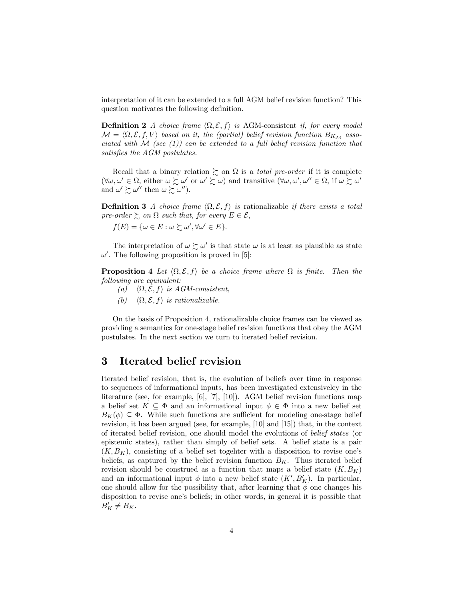interpretation of it can be extended to a full AGM belief revision function? This question motivates the following definition.

**Definition 2** A choice frame  $\langle \Omega, \mathcal{E}, f \rangle$  is AGM-consistent if, for every model  $\mathcal{M} = \langle \Omega, \mathcal{E}, f, V \rangle$  based on it, the (partial) belief revision function  $B_{K_M}$  associated with  $\mathcal M$  (see (1)) can be extended to a full belief revision function that satisfies the AGM postulates.

Recall that a binary relation  $\gtrsim$  on  $\Omega$  is a *total pre-order* if it is complete  $(\forall \omega, \omega' \in \Omega, \text{ either } \omega \succsim \omega' \text{ or } \omega' \succsim \omega) \text{ and transitive } (\forall \omega, \omega', \omega'' \in \Omega, \text{ if } \omega \succsim \omega'$ and  $\omega' \succsim \omega''$  then  $\omega \succsim \omega''$ ).

**Definition 3** A choice frame  $\langle \Omega, \mathcal{E}, f \rangle$  is rationalizable if there exists a total pre-order  $\succeq$  on  $\Omega$  such that, for every  $E \in \mathcal{E}$ ,

 $f(E) = {\omega \in E : \omega \succsim \omega', \forall \omega' \in E}.$ 

The interpretation of  $\omega \succsim \omega'$  is that state  $\omega$  is at least as plausible as state  $\omega'$ . The following proposition is proved in [5]:

**Proposition 4** Let  $\langle \Omega, \mathcal{E}, f \rangle$  be a choice frame where  $\Omega$  is finite. Then the following are equivalent:

- (a)  $\langle \Omega, \mathcal{E}, f \rangle$  is AGM-consistent,
- (b)  $\langle \Omega, \mathcal{E}, f \rangle$  is rationalizable.

On the basis of Proposition 4, rationalizable choice frames can be viewed as providing a semantics for one-stage belief revision functions that obey the AGM postulates. In the next section we turn to iterated belief revision.

# 3 Iterated belief revision

Iterated belief revision, that is, the evolution of beliefs over time in response to sequences of informational inputs, has been investigated extensiveley in the literature (see, for example, [6], [7], [10]). AGM belief revision functions map a belief set  $K \subseteq \Phi$  and an informational input  $\phi \in \Phi$  into a new belief set  $B_K(\phi) \subseteq \Phi$ . While such functions are sufficient for modeling one-stage belief revision, it has been argued (see, for example, [10] and [15]) that, in the context of iterated belief revision, one should model the evolutions of belief states (or epistemic states), rather than simply of belief sets. A belief state is a pair  $(K, B_K)$ , consisting of a belief set togehter with a disposition to revise one's beliefs, as captured by the belief revision function  $B_K$ . Thus iterated belief revision should be construed as a function that maps a belief state  $(K, B_K)$ and an informational input  $\phi$  into a new belief state  $(K', B_K')$ . In particular, one should allow for the possibility that, after learning that  $\phi$  one changes his disposition to revise one's beliefs; in other words, in general it is possible that  $B'_K \neq B_K.$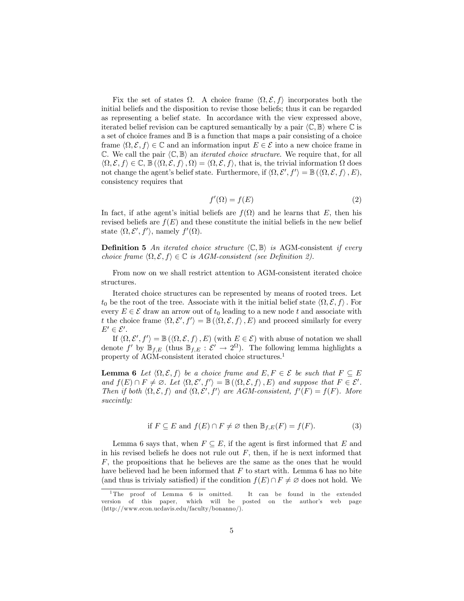Fix the set of states  $\Omega$ . A choice frame  $\langle \Omega, \mathcal{E}, f \rangle$  incorporates both the initial beliefs and the disposition to revise those beliefs; thus it can be regarded as representing a belief state. In accordance with the view expressed above, iterated belief revision can be captured semantically by a pair  $\langle \mathbb{C}, \mathbb{B} \rangle$  where  $\mathbb{C}$  is a set of choice frames and  $\mathbb B$  is a function that maps a pair consisting of a choice frame  $\langle \Omega, \mathcal{E}, f \rangle \in \mathbb{C}$  and an information input  $E \in \mathcal{E}$  into a new choice frame in  $\mathbb{C}$ . We call the pair  $\langle \mathbb{C}, \mathbb{B} \rangle$  an *iterated choice structure*. We require that, for all  $\langle \Omega, \mathcal{E}, f \rangle \in \mathbb{C}, \mathbb{B}(\langle \Omega, \mathcal{E}, f \rangle, \Omega) = \langle \Omega, \mathcal{E}, f \rangle$ , that is, the trivial information  $\Omega$  does not change the agent's belief state. Furthermore, if  $\langle \Omega, \mathcal{E}', f' \rangle = \mathbb{B}(\langle \Omega, \mathcal{E}, f \rangle, E)$ , consistency requires that

$$
f'(\Omega) = f(E) \tag{2}
$$

In fact, if athe agent's initial beliefs are  $f(\Omega)$  and he learns that E, then his revised beliefs are  $f(E)$  and these constitute the initial beliefs in the new belief state  $\langle \Omega, \mathcal{E}', f' \rangle$ , namely  $f'(\Omega)$ .

**Definition 5** An iterated choice structure  $\langle \mathbb{C}, \mathbb{B} \rangle$  is AGM-consistent if every choice frame  $\langle \Omega, \mathcal{E}, f \rangle \in \mathbb{C}$  is AGM-consistent (see Definition 2).

From now on we shall restrict attention to AGM-consistent iterated choice structures.

Iterated choice structures can be represented by means of rooted trees. Let  $t_0$  be the root of the tree. Associate with it the initial belief state  $\langle \Omega, \mathcal{E}, f \rangle$ . For every  $E \in \mathcal{E}$  draw an arrow out of  $t_0$  leading to a new node t and associate with t the choice frame  $\langle \Omega, \mathcal{E}', f' \rangle = \mathbb{B}(\langle \Omega, \mathcal{E}, f \rangle, E)$  and proceed similarly for every  $E' \in \mathcal{E}'$ .

If  $\langle \Omega, \mathcal{E}', f' \rangle = \mathbb{B}(\langle \Omega, \mathcal{E}, f \rangle, E)$  (with  $E \in \mathcal{E}$ ) with abuse of notation we shall denote f' by  $\mathbb{B}_{f,E}$  (thus  $\mathbb{B}_{f,E}: \mathcal{E}' \to 2^{\Omega}$ ). The following lemma highlights a property of AGM-consistent iterated choice structures.<sup>1</sup>

**Lemma 6** Let  $\langle \Omega, \mathcal{E}, f \rangle$  be a choice frame and  $E, F \in \mathcal{E}$  be such that  $F \subseteq E$ and  $f(E) \cap F \neq \emptyset$ . Let  $\langle \Omega, \mathcal{E}', f' \rangle = \mathbb{B}(\langle \Omega, \mathcal{E}, f \rangle, E)$  and suppose that  $F \in \mathcal{E}'$ . Then if both  $\langle \Omega, \mathcal{E}, f \rangle$  and  $\langle \Omega, \mathcal{E}', f' \rangle$  are AGM-consistent,  $f'(F) = f(F)$ . More succintly:

if 
$$
F \subseteq E
$$
 and  $f(E) \cap F \neq \emptyset$  then  $\mathbb{B}_{f,E}(F) = f(F)$ . (3)

Lemma 6 says that, when  $F \subseteq E$ , if the agent is first informed that E and in his revised beliefs he does not rule out  $F$ , then, if he is next informed that F, the propositions that he believes are the same as the ones that he would have believed had he been informed that  $F$  to start with. Lemma 6 has no bite (and thus is trivialy satisfied) if the condition  $f(E) \cap F \neq \emptyset$  does not hold. We

<sup>&</sup>lt;sup>1</sup>The proof of Lemma 6 is omitted. It can be found in the extended sion of this paper, which will be posted on the author's web page version of this paper, which will be (http://www.econ.ucdavis.edu/faculty/bonanno/).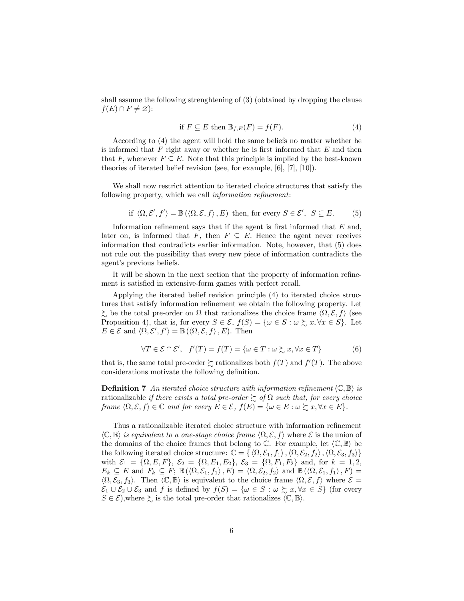shall assume the following strenghtening of (3) (obtained by dropping the clause  $f(E) \cap F \neq \varnothing$ :

$$
\text{if } F \subseteq E \text{ then } \mathbb{B}_{f,E}(F) = f(F). \tag{4}
$$

According to (4) the agent will hold the same beliefs no matter whether he is informed that  $F$  right away or whether he is first informed that  $E$  and then that F, whenever  $F \subseteq E$ . Note that this principle is implied by the best-known theories of iterated belief revision (see, for example, [6], [7], [10]).

We shall now restrict attention to iterated choice structures that satisfy the following property, which we call information refinement:

if 
$$
\langle \Omega, \mathcal{E}', f' \rangle = \mathbb{B}(\langle \Omega, \mathcal{E}, f \rangle, E)
$$
 then, for every  $S \in \mathcal{E}'$ ,  $S \subseteq E$ . (5)

Information refinement says that if the agent is first informed that  $E$  and, later on, is informed that F, then  $F \subseteq E$ . Hence the agent never receives information that contradicts earlier information. Note, however, that (5) does not rule out the possibility that every new piece of information contradicts the agent's previous beliefs.

It will be shown in the next section that the property of information refinement is satisfied in extensive-form games with perfect recall.

Applying the iterated belief revision principle (4) to iterated choice structures that satisfy information refinement we obtain the following property. Let  $\succsim$  be the total pre-order on  $\Omega$  that rationalizes the choice frame  $\langle \Omega, \mathcal{E}, f \rangle$  (see Proposition 4), that is, for every  $S \in \mathcal{E}$ ,  $f(S) = \{ \omega \in S : \omega \succsim x, \forall x \in S \}$ . Let  $E \in \mathcal{E}$  and  $\langle \Omega, \mathcal{E}', f' \rangle = \mathbb{B}(\langle \Omega, \mathcal{E}, f \rangle, E)$ . Then

$$
\forall T \in \mathcal{E} \cap \mathcal{E}', \quad f'(T) = f(T) = \{ \omega \in T : \omega \succsim x, \forall x \in T \}
$$
(6)

that is, the same total pre-order  $\succsim$  rationalizes both  $f(T)$  and  $f'(T)$ . The above considerations motivate the following definition.

**Definition 7** An iterated choice structure with information refinement  $\langle \mathbb{C}, \mathbb{B} \rangle$  is rationalizable if there exists a total pre-order  $\sum$  of  $\Omega$  such that, for every choice frame  $\langle \Omega, \mathcal{E}, f \rangle \in \mathbb{C}$  and for every  $E \in \mathcal{E}$ ,  $f(E) = \{ \omega \in E : \omega \succsim x, \forall x \in E \}.$ 

Thus a rationalizable iterated choice structure with information refinement  $\langle \mathbb{C}, \mathbb{B} \rangle$  is equivalent to a one-stage choice frame  $\langle \Omega, \mathcal{E}, f \rangle$  where  $\mathcal{E}$  is the union of the domains of the choice frames that belong to  $\mathbb C$ . For example, let  $\langle \mathbb C, \mathbb B \rangle$  be the following iterated choice structure:  $\mathbb{C} = \{ \langle \Omega, \mathcal{E}_1, f_1 \rangle, \langle \Omega, \mathcal{E}_2, f_2 \rangle, \langle \Omega, \mathcal{E}_3, f_3 \rangle \}$ with  $\mathcal{E}_1 = \{ \Omega, E, F \}, \ \mathcal{E}_2 = \{ \Omega, E_1, E_2 \}, \ \mathcal{E}_3 = \{ \Omega, F_1, F_2 \} \text{ and, for } k = 1, 2,$  $E_k \subseteq E$  and  $F_k \subseteq F$ ;  $\mathbb{B}(\langle \Omega, \mathcal{E}_1, f_1 \rangle, E) = \langle \Omega, \mathcal{E}_2, f_2 \rangle$  and  $\mathbb{B}(\langle \Omega, \mathcal{E}_1, f_1 \rangle, F) =$  $\langle \Omega, \mathcal{E}_3, f_3 \rangle$ . Then  $\langle \mathbb{C}, \mathbb{B} \rangle$  is equivalent to the choice frame  $\langle \Omega, \mathcal{E}, f \rangle$  where  $\mathcal{E} =$  $\mathcal{E}_1 \cup \mathcal{E}_2 \cup \mathcal{E}_3$  and f is defined by  $f(S) = \{ \omega \in S : \omega \succsim x, \forall x \in S \}$  (for every  $S \in \mathcal{E}$ , where  $\succsim$  is the total pre-order that rationalizes  $\langle \mathbb{C}, \mathbb{B} \rangle$ .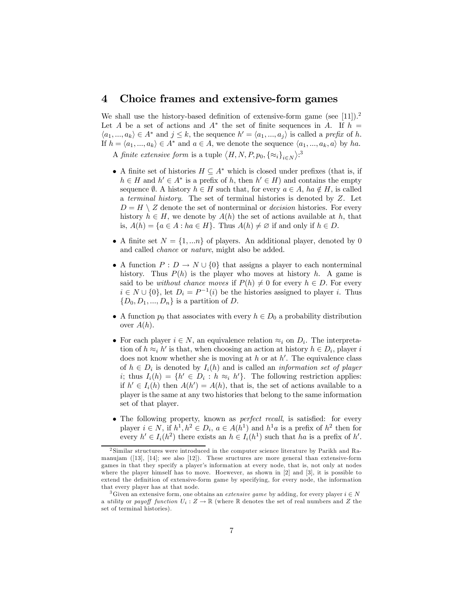### 4 Choice frames and extensive-form games

We shall use the history-based definition of extensive-form game (see [11]).<sup>2</sup> Let A be a set of actions and  $A^*$  the set of finite sequences in A. If  $h =$  $\langle a_1, ..., a_k \rangle \in A^*$  and  $j \leq k$ , the sequence  $h' = \langle a_1, ..., a_j \rangle$  is called a *prefix* of h. If  $h = \langle a_1, ..., a_k \rangle \in A^*$  and  $a \in A$ , we denote the sequence  $\langle a_1, ..., a_k, a \rangle$  by ha. A finite extensive form is a tuple  $\langle H, N, P, p_0, \{\approx_i\}_{i \in N} \rangle$ .<sup>3</sup>

- A finite set of histories  $H \subseteq A^*$  which is closed under prefixes (that is, if  $h \in H$  and  $h' \in A^*$  is a prefix of h, then  $h' \in H$ ) and contains the empty sequence  $\emptyset$ . A history  $h \in H$  such that, for every  $a \in A$ ,  $ha \notin H$ , is called a terminal history. The set of terminal histories is denoted by Z. Let  $D = H \setminus Z$  denote the set of nonterminal or *decision* histories. For every history  $h \in H$ , we denote by  $A(h)$  the set of actions available at h, that is,  $A(h) = \{a \in A : ha \in H\}$ . Thus  $A(h) \neq \emptyset$  if and only if  $h \in D$ .
- A finite set  $N = \{1, \ldots n\}$  of players. An additional player, denoted by 0 and called chance or nature, might also be added.
- A function  $P: D \to N \cup \{0\}$  that assigns a player to each nonterminal history. Thus  $P(h)$  is the player who moves at history h. A game is said to be *without chance moves* if  $P(h) \neq 0$  for every  $h \in D$ . For every  $i \in N \cup \{0\}$ , let  $D_i = P^{-1}(i)$  be the histories assigned to player i. Thus  ${D_0, D_1, ..., D_n}$  is a partition of D.
- A function  $p_0$  that associates with every  $h \in D_0$  a probability distribution over  $A(h)$ .
- For each player  $i \in N$ , an equivalence relation  $\approx_i$  on  $D_i$ . The interpretation of  $h \approx_i h'$  is that, when choosing an action at history  $h \in D_i$ , player i does not know whether she is moving at  $h$  or at  $h'$ . The equivalence class of  $h \in D_i$  is denoted by  $I_i(h)$  and is called an *information set of player* i; thus  $I_i(h) = \{h' \in D_i : h \approx_i h'\}$ . The following restriction applies: if  $h' \in I_i(h)$  then  $A(h') = A(h)$ , that is, the set of actions available to a player is the same at any two histories that belong to the same information set of that player.
- The following property, known as *perfect recall*, is satisfied: for every player  $i \in N$ , if  $h^1, h^2 \in D_i$ ,  $a \in A(h^1)$  and  $h^1a$  is a prefix of  $h^2$  then for every  $h' \in I_i(h^2)$  there exists an  $h \in I_i(h^1)$  such that ha is a prefix of h'.

<sup>2</sup> Similar structures were introduced in the computer science literature by Parikh and Ramanujam ([13], [14]; see also [12]). These sructures are more general than extensive-form games in that they specify a player's information at every node, that is, not only at nodes where the player himself has to move. Hoewever, as shown in [2] and [3], it is possible to extend the definition of extensive-form game by specifying, for every node, the information that every player has at that node.

<sup>&</sup>lt;sup>3</sup>Given an extensive form, one obtains an *extensive game* by adding, for every player  $i \in N$ a utility or payoff function  $U_i: Z \to \mathbb{R}$  (where  $\mathbb R$  denotes the set of real numbers and Z the set of terminal histories).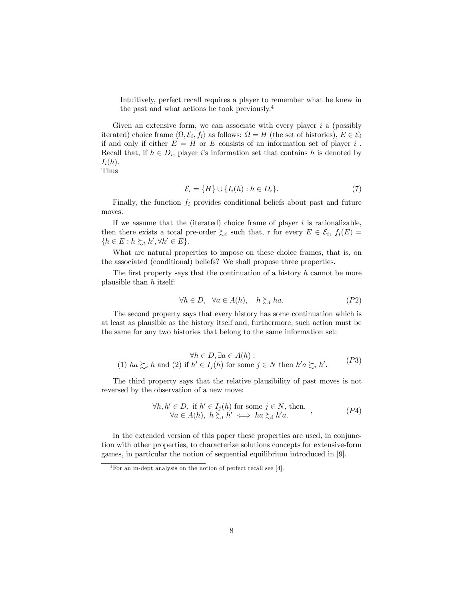Intuitively, perfect recall requires a player to remember what he knew in the past and what actions he took previously.<sup>4</sup>

Given an extensive form, we can associate with every player  $i$  a (possibly iterated) choice frame  $\langle \Omega, \mathcal{E}_i, f_i \rangle$  as follows:  $\Omega = H$  (the set of histories),  $E \in \mathcal{E}_i$ if and only if either  $E = H$  or E consists of an information set of player i. Recall that, if  $h \in D_i$ , player i's information set that contains h is denoted by  $I_i(h)$ . Thus

$$
\mathcal{E}_i = \{H\} \cup \{I_i(h) : h \in D_i\}.
$$
\n<sup>(7)</sup>

Finally, the function  $f_i$  provides conditional beliefs about past and future moves.

If we assume that the (iterated) choice frame of player  $i$  is rationalizable, then there exists a total pre-order  $\succsim_i$  such that, r for every  $E \in \mathcal{E}_i$ ,  $f_i(E) =$  $\{h \in E : h \succsim_i h', \forall h' \in E\}.$ 

What are natural properties to impose on these choice frames, that is, on the associated (conditional) beliefs? We shall propose three properties.

The first property says that the continuation of a history  $h$  cannot be more plausible than h itself:

$$
\forall h \in D, \ \forall a \in A(h), \quad h \succsim_i ha. \tag{P2}
$$

The second property says that every history has some continuation which is at least as plausible as the history itself and, furthermore, such action must be the same for any two histories that belong to the same information set:

$$
\forall h \in D, \exists a \in A(h):
$$
  
(1)  $ha \succsim_{i} h$  and (2) if  $h' \in I_j(h)$  for some  $j \in N$  then  $h'a \succsim_{i} h'$ . (P3)

The third property says that the relative plausibility of past moves is not reversed by the observation of a new move:

$$
\forall h, h' \in D, \text{ if } h' \in I_j(h) \text{ for some } j \in N, \text{ then,}
$$
  

$$
\forall a \in A(h), h \succsim_i h' \iff ha \succsim_i h'a.
$$
 (P4)

In the extended version of this paper these properties are used, in conjunction with other properties, to characterize solutions concepts for extensive-form games, in particular the notion of sequential equilibrium introduced in [9].

<sup>4</sup>For an in-dept analysis on the notion of perfect recall see [4].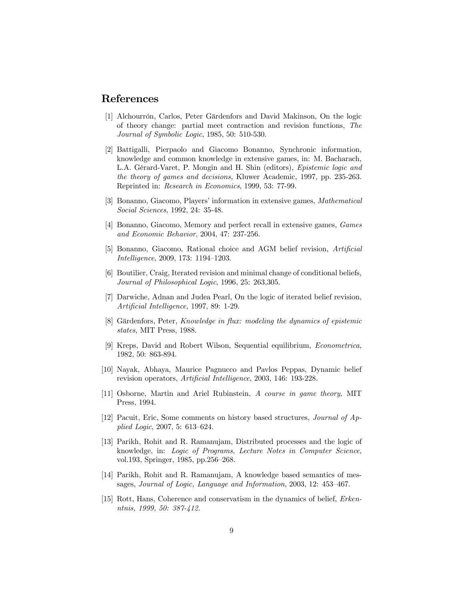## References

- [1] Alchourrón, Carlos, Peter Gärdenfors and David Makinson, On the logic of theory change: partial meet contraction and revision functions, The Journal of Symbolic Logic, 1985, 50: 510-530.
- [2] Battigalli, Pierpaolo and Giacomo Bonanno, Synchronic information, knowledge and common knowledge in extensive games, in: M. Bacharach, L.A. Gérard-Varet, P. Mongin and H. Shin (editors), Epistemic logic and the theory of games and decisions, Kluwer Academic, 1997, pp. 235-263. Reprinted in: Research in Economics, 1999, 53: 77-99.
- [3] Bonanno, Giacomo, Players' information in extensive games, Mathematical Social Sciences, 1992, 24: 35-48.
- [4] Bonanno, Giacomo, Memory and perfect recall in extensive games, Games and Economic Behavior, 2004, 47: 237-256.
- [5] Bonanno, Giacomo, Rational choice and AGM belief revision, Artificial Intelligence, 2009, 173: 1194—1203.
- [6] Boutilier, Craig, Iterated revision and minimal change of conditional beliefs, Journal of Philosophical Logic, 1996, 25: 263,305.
- [7] Darwiche, Adnan and Judea Pearl, On the logic of iterated belief revision, Artificial Intelligence, 1997, 89: 1-29.
- [8] Gärdenfors, Peter, Knowledge in flux: modeling the dynamics of epistemic states, MIT Press, 1988.
- [9] Kreps, David and Robert Wilson, Sequential equilibrium, Econometrica, 1982, 50: 863-894.
- [10] Nayak, Abhaya, Maurice Pagnucco and Pavlos Peppas, Dynamic belief revision operators, Artificial Intelligence, 2003, 146: 193-228.
- [11] Osborne, Martin and Ariel Rubinstein, A course in game theory, MIT Press, 1994.
- [12] Pacuit, Eric, Some comments on history based structures, Journal of Applied Logic, 2007, 5: 613—624.
- [13] Parikh, Rohit and R. Ramanujam, Distributed processes and the logic of knowledge, in: Logic of Programs, Lecture Notes in Computer Science, vol.193, Springer, 1985, pp.256—268.
- [14] Parikh, Rohit and R. Ramanujam, A knowledge based semantics of messages, Journal of Logic, Language and Information, 2003, 12: 453—467.
- [15] Rott, Hans, Coherence and conservatism in the dynamics of belief, Erkenntnis, 1999, 50: 387-412.